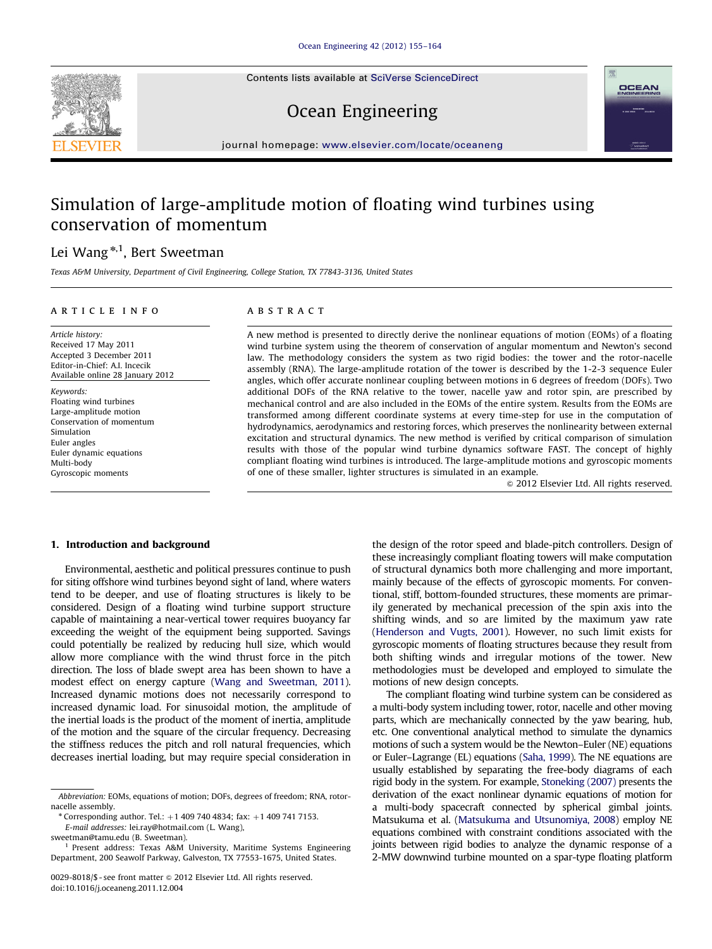Contents lists available at [SciVerse ScienceDirect](www.elsevier.com/locate/oceaneng)







journal homepage: <www.elsevier.com/locate/oceaneng>

# Simulation of large-amplitude motion of floating wind turbines using conservation of momentum

## Lei Wang<sup>\*,1</sup>, Bert Sweetman

Texas A&M University, Department of Civil Engineering, College Station, TX 77843-3136, United States

## article info

Article history: Received 17 May 2011 Accepted 3 December 2011 Editor-in-Chief: A.I. Incecik Available online 28 January 2012

Keywords: Floating wind turbines Large-amplitude motion Conservation of momentum Simulation Euler angles Euler dynamic equations Multi-body Gyroscopic moments

## ABSTRACT

A new method is presented to directly derive the nonlinear equations of motion (EOMs) of a floating wind turbine system using the theorem of conservation of angular momentum and Newton's second law. The methodology considers the system as two rigid bodies: the tower and the rotor-nacelle assembly (RNA). The large-amplitude rotation of the tower is described by the 1-2-3 sequence Euler angles, which offer accurate nonlinear coupling between motions in 6 degrees of freedom (DOFs). Two additional DOFs of the RNA relative to the tower, nacelle yaw and rotor spin, are prescribed by mechanical control and are also included in the EOMs of the entire system. Results from the EOMs are transformed among different coordinate systems at every time-step for use in the computation of hydrodynamics, aerodynamics and restoring forces, which preserves the nonlinearity between external excitation and structural dynamics. The new method is verified by critical comparison of simulation results with those of the popular wind turbine dynamics software FAST. The concept of highly compliant floating wind turbines is introduced. The large-amplitude motions and gyroscopic moments of one of these smaller, lighter structures is simulated in an example.

 $\odot$  2012 Elsevier Ltd. All rights reserved.

## 1. Introduction and background

Environmental, aesthetic and political pressures continue to push for siting offshore wind turbines beyond sight of land, where waters tend to be deeper, and use of floating structures is likely to be considered. Design of a floating wind turbine support structure capable of maintaining a near-vertical tower requires buoyancy far exceeding the weight of the equipment being supported. Savings could potentially be realized by reducing hull size, which would allow more compliance with the wind thrust force in the pitch direction. The loss of blade swept area has been shown to have a modest effect on energy capture ([Wang and Sweetman, 2011\)](#page-9-0). Increased dynamic motions does not necessarily correspond to increased dynamic load. For sinusoidal motion, the amplitude of the inertial loads is the product of the moment of inertia, amplitude of the motion and the square of the circular frequency. Decreasing the stiffness reduces the pitch and roll natural frequencies, which decreases inertial loading, but may require special consideration in

Corresponding author. Tel.:  $+1$  409 740 4834; fax:  $+1$  409 741 7153. E-mail addresses: [lei.ray@hotmail.com \(L. Wang\),](mailto:lei.ray@hotmail.com)

[sweetman@tamu.edu \(B. Sweetman\)](mailto:sweetman@tamu.edu).

the design of the rotor speed and blade-pitch controllers. Design of these increasingly compliant floating towers will make computation of structural dynamics both more challenging and more important, mainly because of the effects of gyroscopic moments. For conventional, stiff, bottom-founded structures, these moments are primarily generated by mechanical precession of the spin axis into the shifting winds, and so are limited by the maximum yaw rate [\(Henderson and Vugts, 2001](#page-9-0)). However, no such limit exists for gyroscopic moments of floating structures because they result from both shifting winds and irregular motions of the tower. New methodologies must be developed and employed to simulate the motions of new design concepts.

The compliant floating wind turbine system can be considered as a multi-body system including tower, rotor, nacelle and other moving parts, which are mechanically connected by the yaw bearing, hub, etc. One conventional analytical method to simulate the dynamics motions of such a system would be the Newton–Euler (NE) equations or Euler–Lagrange (EL) equations [\(Saha, 1999](#page-9-0)). The NE equations are usually established by separating the free-body diagrams of each rigid body in the system. For example, [Stoneking \(2007\)](#page-9-0) presents the derivation of the exact nonlinear dynamic equations of motion for a multi-body spacecraft connected by spherical gimbal joints. Matsukuma et al. [\(Matsukuma and Utsunomiya, 2008\)](#page-9-0) employ NE equations combined with constraint conditions associated with the joints between rigid bodies to analyze the dynamic response of a 2-MW downwind turbine mounted on a spar-type floating platform

Abbreviation: EOMs, equations of motion; DOFs, degrees of freedom; RNA, rotornacelle assembly.

<sup>&</sup>lt;sup>1</sup> Present address: Texas A&M University, Maritime Systems Engineering Department, 200 Seawolf Parkway, Galveston, TX 77553-1675, United States.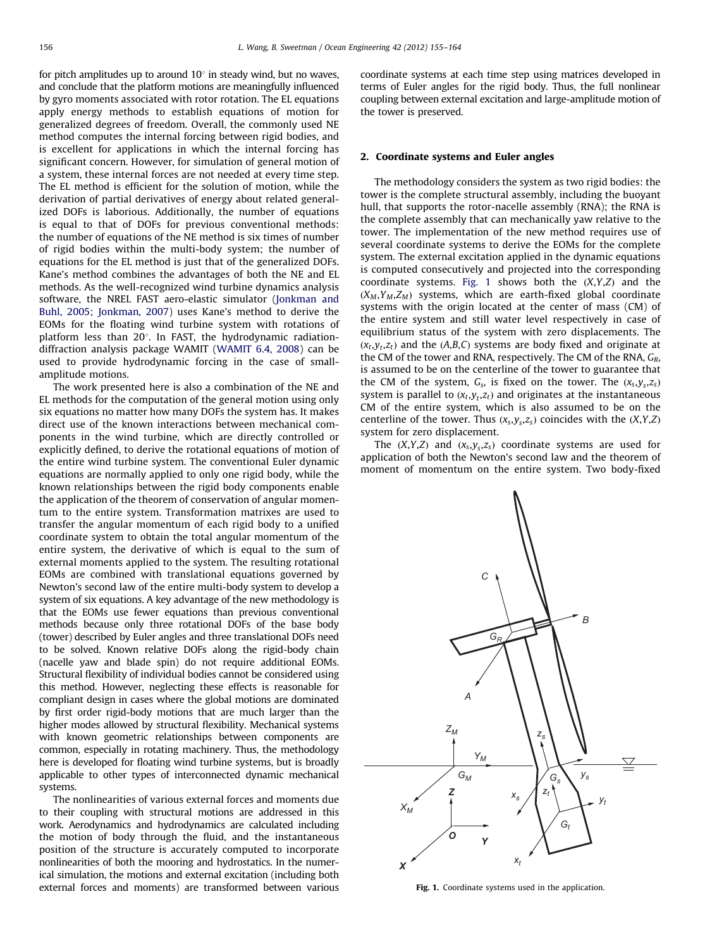<span id="page-1-0"></span>for pitch amplitudes up to around  $10^{\circ}$  in steady wind, but no waves, and conclude that the platform motions are meaningfully influenced by gyro moments associated with rotor rotation. The EL equations apply energy methods to establish equations of motion for generalized degrees of freedom. Overall, the commonly used NE method computes the internal forcing between rigid bodies, and is excellent for applications in which the internal forcing has significant concern. However, for simulation of general motion of a system, these internal forces are not needed at every time step. The EL method is efficient for the solution of motion, while the derivation of partial derivatives of energy about related generalized DOFs is laborious. Additionally, the number of equations is equal to that of DOFs for previous conventional methods: the number of equations of the NE method is six times of number of rigid bodies within the multi-body system; the number of equations for the EL method is just that of the generalized DOFs. Kane's method combines the advantages of both the NE and EL methods. As the well-recognized wind turbine dynamics analysis software, the NREL FAST aero-elastic simulator [\(Jonkman and](#page-9-0) [Buhl, 2005; Jonkman, 2007](#page-9-0)) uses Kane's method to derive the EOMs for the floating wind turbine system with rotations of platform less than  $20^{\circ}$ . In FAST, the hydrodynamic radiationdiffraction analysis package WAMIT [\(WAMIT 6.4, 2008\)](#page-9-0) can be used to provide hydrodynamic forcing in the case of smallamplitude motions.

The work presented here is also a combination of the NE and EL methods for the computation of the general motion using only six equations no matter how many DOFs the system has. It makes direct use of the known interactions between mechanical components in the wind turbine, which are directly controlled or explicitly defined, to derive the rotational equations of motion of the entire wind turbine system. The conventional Euler dynamic equations are normally applied to only one rigid body, while the known relationships between the rigid body components enable the application of the theorem of conservation of angular momentum to the entire system. Transformation matrixes are used to transfer the angular momentum of each rigid body to a unified coordinate system to obtain the total angular momentum of the entire system, the derivative of which is equal to the sum of external moments applied to the system. The resulting rotational EOMs are combined with translational equations governed by Newton's second law of the entire multi-body system to develop a system of six equations. A key advantage of the new methodology is that the EOMs use fewer equations than previous conventional methods because only three rotational DOFs of the base body (tower) described by Euler angles and three translational DOFs need to be solved. Known relative DOFs along the rigid-body chain (nacelle yaw and blade spin) do not require additional EOMs. Structural flexibility of individual bodies cannot be considered using this method. However, neglecting these effects is reasonable for compliant design in cases where the global motions are dominated by first order rigid-body motions that are much larger than the higher modes allowed by structural flexibility. Mechanical systems with known geometric relationships between components are common, especially in rotating machinery. Thus, the methodology here is developed for floating wind turbine systems, but is broadly applicable to other types of interconnected dynamic mechanical systems.

The nonlinearities of various external forces and moments due to their coupling with structural motions are addressed in this work. Aerodynamics and hydrodynamics are calculated including the motion of body through the fluid, and the instantaneous position of the structure is accurately computed to incorporate nonlinearities of both the mooring and hydrostatics. In the numerical simulation, the motions and external excitation (including both external forces and moments) are transformed between various coordinate systems at each time step using matrices developed in terms of Euler angles for the rigid body. Thus, the full nonlinear coupling between external excitation and large-amplitude motion of the tower is preserved.

#### 2. Coordinate systems and Euler angles

The methodology considers the system as two rigid bodies: the tower is the complete structural assembly, including the buoyant hull, that supports the rotor-nacelle assembly (RNA); the RNA is the complete assembly that can mechanically yaw relative to the tower. The implementation of the new method requires use of several coordinate systems to derive the EOMs for the complete system. The external excitation applied in the dynamic equations is computed consecutively and projected into the corresponding coordinate systems. Fig. 1 shows both the  $(X, Y, Z)$  and the  $(X_M, Y_M, Z_M)$  systems, which are earth-fixed global coordinate systems with the origin located at the center of mass (CM) of the entire system and still water level respectively in case of equilibrium status of the system with zero displacements. The  $(x_t, y_t, z_t)$  and the  $(A, B, C)$  systems are body fixed and originate at the CM of the tower and RNA, respectively. The CM of the RNA,  $G_R$ , is assumed to be on the centerline of the tower to guarantee that the CM of the system,  $G_s$ , is fixed on the tower. The  $(x_s, y_s, z_s)$ system is parallel to  $(x_t, y_t, z_t)$  and originates at the instantaneous CM of the entire system, which is also assumed to be on the centerline of the tower. Thus  $(x_s, y_s, z_s)$  coincides with the  $(X, Y, Z)$ system for zero displacement.

The  $(X, Y, Z)$  and  $(x_s, y_s, z_s)$  coordinate systems are used for application of both the Newton's second law and the theorem of moment of momentum on the entire system. Two body-fixed



Fig. 1. Coordinate systems used in the application.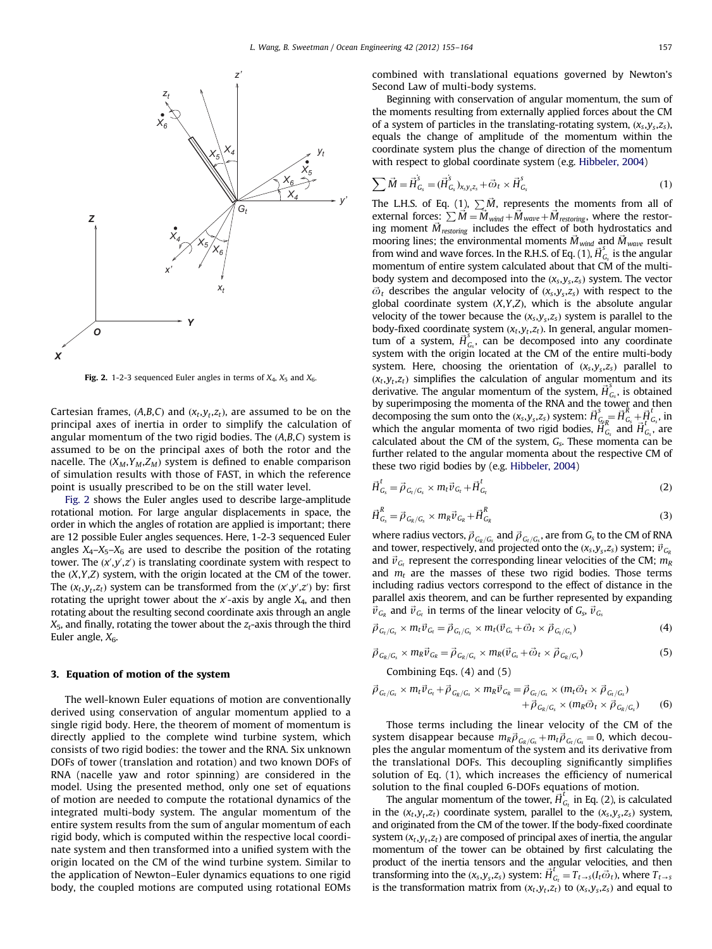

Fig. 2. 1-2-3 sequenced Euler angles in terms of  $X_4$ ,  $X_5$  and  $X_6$ .

Cartesian frames,  $(A, B, C)$  and  $(x_t, y_t, z_t)$ , are assumed to be on the principal axes of inertia in order to simplify the calculation of angular momentum of the two rigid bodies. The  $(A,B,C)$  system is assumed to be on the principal axes of both the rotor and the nacelle. The  $(X_M, Y_M, Z_M)$  system is defined to enable comparison of simulation results with those of FAST, in which the reference point is usually prescribed to be on the still water level.

Fig. 2 shows the Euler angles used to describe large-amplitude rotational motion. For large angular displacements in space, the order in which the angles of rotation are applied is important; there are 12 possible Euler angles sequences. Here, 1-2-3 sequenced Euler angles  $X_4 - X_5 - X_6$  are used to describe the position of the rotating tower. The  $(x', y', z')$  is translating coordinate system with respect to the  $(X, Y, Z)$  system, with the origin located at the CM of the tower. The  $(x_t, y_t, z_t)$  system can be transformed from the  $(x', y', z')$  by: first rotating the upright tower about the  $x'$ -axis by angle  $X_4$ , and then rotating about the resulting second coordinate axis through an angle  $X_5$ , and finally, rotating the tower about the  $z_t$ -axis through the third Euler angle,  $X_6$ .

## 3. Equation of motion of the system

The well-known Euler equations of motion are conventionally derived using conservation of angular momentum applied to a single rigid body. Here, the theorem of moment of momentum is directly applied to the complete wind turbine system, which consists of two rigid bodies: the tower and the RNA. Six unknown DOFs of tower (translation and rotation) and two known DOFs of RNA (nacelle yaw and rotor spinning) are considered in the model. Using the presented method, only one set of equations of motion are needed to compute the rotational dynamics of the integrated multi-body system. The angular momentum of the entire system results from the sum of angular momentum of each rigid body, which is computed within the respective local coordinate system and then transformed into a unified system with the origin located on the CM of the wind turbine system. Similar to the application of Newton–Euler dynamics equations to one rigid body, the coupled motions are computed using rotational EOMs combined with translational equations governed by Newton's Second Law of multi-body systems.

Beginning with conservation of angular momentum, the sum of the moments resulting from externally applied forces about the CM of a system of particles in the translating-rotating system,  $(x_s, y_s, z_s)$ , equals the change of amplitude of the momentum within the coordinate system plus the change of direction of the momentum with respect to global coordinate system (e.g. [Hibbeler, 2004](#page-9-0))

$$
\sum \vec{M} = \vec{H}_{G_s}^{\dot{S}} = (\vec{H}_{G_s}^{\dot{S}})_{x_s y_s z_s} + \vec{\omega}_t \times \vec{H}_{G_s}^{\dot{S}}
$$
(1)

The L.H.S. of Eq. (1),  $\sum \vec{M}$ , represents the moments from all of external forces:  $\sum \vec{M} = \vec{M}_{wind} + \vec{M}_{wave} + \vec{M}_{restoring}$ , where the restoring moment  $\vec{M}_{restoring}$  includes the effect of both hydrostatics and mooring lines; the environmental moments  $\vec{M}_{wind}$  and  $\vec{M}_{wave}$  result from wind and wave forces. In the R.H.S. of Eq. (1),  $\vec{H}_{G_s}^s$  is the angular momentum of entire system calculated about that CM of the multibody system and decomposed into the  $(x_s, y_s, z_s)$  system. The vector  $\vec{\omega}_t$  describes the angular velocity of  $(x_s, y_s, z_s)$  with respect to the global coordinate system  $(X, Y, Z)$ , which is the absolute angular velocity of the tower because the  $(x_s, y_s, z_s)$  system is parallel to the body-fixed coordinate system  $(x_t, y_t, z_t)$ . In general, angular momentum of a system,  $\vec{H}_{G_s}^s$ , can be decomposed into any coordinate system with the origin located at the CM of the entire multi-body system. Here, choosing the orientation of  $(x_s, y_s, z_s)$  parallel to  $(x_t, y_t, z_t)$  simplifies the calculation of angular momentum and its derivative. The angular momentum of the system,  $\vec{H}_{G_s}^s$ , is obtained by superimposing the momenta of the RNA and the tower and then<br>decomposing the sum onto the  $(x_s, y_s, z_s)$  system:  $\vec{H}_{G_R}^s = \vec{H}_G^r + \vec{H}_{G_s}^t$ , in<br>which the angular momenta of two rigid bodies,  $\vec{H}_{G_s}^c$  and  $\vec{H}_{G_s$ calculated about the CM of the system,  $G_s$ . These momenta can be further related to the angular momenta about the respective CM of these two rigid bodies by (e.g. [Hibbeler, 2004\)](#page-9-0)

$$
\vec{H}_{G_s}^t = \vec{\rho}_{G_t/G_s} \times m_t \vec{v}_{G_t} + \vec{H}_{G_t}^t
$$
\n(2)

$$
\vec{H}_{G_s}^R = \vec{\rho}_{G_R/G_s} \times m_R \vec{v}_{G_R} + \vec{H}_{G_R}^R
$$
\n(3)

where radius vectors,  ${\vec \rho}_{G_{\!R/G_{\!s}}}$  and  ${\vec \rho}_{G_{\!t}/G_{\!s}}$ , are from  $G_{\!s}$  to the CM of RNA and tower, respectively, and projected onto the  $(x_s, y_s, z_s)$  system;  $\vec{v}_{G_R}$ and  $\vec{v}_{\text{G}_{n}}$  represent the corresponding linear velocities of the CM;  $m_{R}$ and  $m_t$  are the masses of these two rigid bodies. Those terms including radius vectors correspond to the effect of distance in the parallel axis theorem, and can be further represented by expanding  $\vec{v}_{G_R}$  and  $\vec{v}_{G_r}$  in terms of the linear velocity of  $G_s$ ,  $\vec{v}_{G_s}$ 

$$
\vec{\rho}_{G_t/G_s} \times m_t \vec{v}_{G_t} = \vec{\rho}_{G_t/G_s} \times m_t (\vec{v}_{G_s} + \vec{\omega}_t \times \vec{\rho}_{G_t/G_s})
$$
(4)

$$
\vec{\rho}_{G_R/G_s} \times m_R \vec{v}_{G_R} = \vec{\rho}_{G_R/G_s} \times m_R(\vec{v}_{G_s} + \vec{\omega}_t \times \vec{\rho}_{G_R/G_s})
$$
(5)

Combining Eqs. (4) and (5)

$$
\begin{aligned} \vec{\rho}_{G_{t}/G_{s}} \times m_{t} \vec{v}_{G_{t}} + \vec{\rho}_{G_{R}/G_{s}} \times m_{R} \vec{v}_{G_{R}} &= \vec{\rho}_{G_{t}/G_{s}} \times (m_{t} \vec{\omega}_{t} \times \vec{\rho}_{G_{t}/G_{s}}) \\ &+ \vec{\rho}_{G_{R}/G_{s}} \times (m_{R} \vec{\omega}_{t} \times \vec{\rho}_{G_{R}/G_{s}}) \end{aligned} \tag{6}
$$

Those terms including the linear velocity of the CM of the system disappear because  $m_R \vec{\rho}_{G_R/G_s} + m_t \vec{\rho}_{G_t/G_s} = 0$ , which decouples the angular momentum of the system and its derivative from the translational DOFs. This decoupling significantly simplifies solution of Eq. (1), which increases the efficiency of numerical solution to the final coupled 6-DOFs equations of motion.

The angular momentum of the tower,  $\overrightarrow{H}_{G_t}^t$  in Eq. (2), is calculated in the  $(x_t, y_t, z_t)$  coordinate system, parallel to the  $(x_s, y_s, z_s)$  system, and originated from the CM of the tower. If the body-fixed coordinate system  $(x_t, y_t, z_t)$  are composed of principal axes of inertia, the angular momentum of the tower can be obtained by first calculating the product of the inertia tensors and the angular velocities, and then transforming into the  $(x_s, y_s, z_s)$  system:  $\overrightarrow{H}_{G_t}^t = T_{t\to s}(I_t\overrightarrow{\omega}_t)$ , where  $T_{t\to s}$ is the transformation matrix from  $(x_t, y_t, z_t)$  to  $(x_s, y_s, z_s)$  and equal to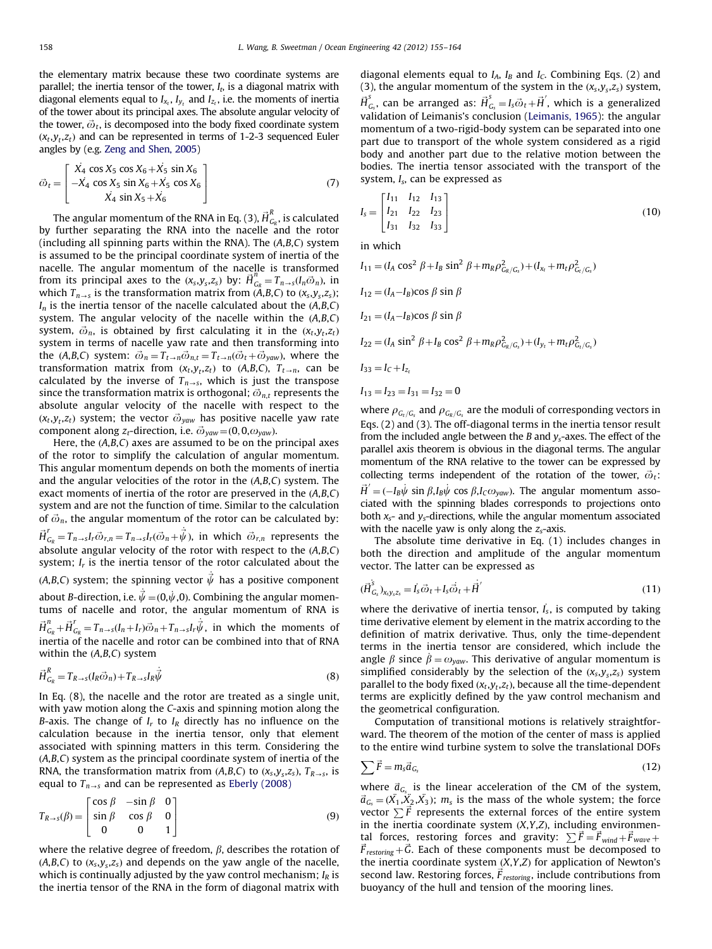the elementary matrix because these two coordinate systems are parallel; the inertia tensor of the tower,  $I_t$ , is a diagonal matrix with diagonal elements equal to  $I_{x_t}$ ,  $I_{y_t}$  and  $I_{z_t}$ , i.e. the moments of inertia of the tower about its principal axes. The absolute angular velocity of the tower,  $\vec{\omega}_t$ , is decomposed into the body fixed coordinate system  $(x_t, y_t, z_t)$  and can be represented in terms of 1-2-3 sequenced Euler angles by (e.g. [Zeng and Shen, 2005\)](#page-9-0)

$$
\vec{\omega}_t = \begin{bmatrix} \dot{X}_4 \cos X_5 \cos X_6 + \dot{X}_5 \sin X_6 \\ -\dot{X}_4 \cos X_5 \sin X_6 + \dot{X}_5 \cos X_6 \\ \dot{X}_4 \sin X_5 + \dot{X}_6 \end{bmatrix}
$$
(7)

The angular momentum of the RNA in Eq. (3),  ${\vec{H}}^R_{G_{\!R}}$ , is calculated by further separating the RNA into the nacelle and the rotor (including all spinning parts within the RNA). The  $(A,B,C)$  system is assumed to be the principal coordinate system of inertia of the nacelle. The angular momentum of the nacelle is transformed from its principal axes to the  $(x_s, y_s, z_s)$  by:  $\vec{H}_{G_R}^n = T_{n \to s}(I_n \vec{\omega}_n)$ , in which  $T_{n\rightarrow s}$  is the transformation matrix from  $(A,B,C)$  to  $(x_s,y_s,z_s)$ ;  $I_n$  is the inertia tensor of the nacelle calculated about the  $(A,B,C)$ system. The angular velocity of the nacelle within the  $(A,B,C)$ system,  $\vec{\omega}_n$ , is obtained by first calculating it in the  $(x_t, y_t, z_t)$ system in terms of nacelle yaw rate and then transforming into the  $(A,B,C)$  system:  $\vec{\omega}_n = T_{t\to n}\vec{\omega}_{n,t} = T_{t\to n}(\vec{\omega}_t + \vec{\omega}_{yaw})$ , where the transformation matrix from  $(x_t, y_t, z_t)$  to  $(A, B, C)$ ,  $T_{t \to n}$ , can be calculated by the inverse of  $T_{n\rightarrow s}$ , which is just the transpose since the transformation matrix is orthogonal;  $\vec{\omega}_{n,t}$  represents the absolute angular velocity of the nacelle with respect to the  $(x_t, y_t, z_t)$  system; the vector  $\vec{\omega}_{\text{yaw}}$  has positive nacelle yaw rate component along  $z_t$ -direction, i.e.  $\vec{\omega}_{yaw} = (0, 0, \omega_{yaw})$ .

Here, the  $(A,B,C)$  axes are assumed to be on the principal axes of the rotor to simplify the calculation of angular momentum. This angular momentum depends on both the moments of inertia and the angular velocities of the rotor in the  $(A,B,C)$  system. The exact moments of inertia of the rotor are preserved in the  $(A,B,C)$ system and are not the function of time. Similar to the calculation of  $\vec{\omega}_n$ , the angular momentum of the rotor can be calculated by:  $\vec{H}^r_{G_R} = T_{n \to s} I_r \vec{\omega}_{r,n} = T_{n \to s} I_r (\vec{\omega}_n + \dot{\vec{\psi}})$ , in which  $\vec{\omega}_{r,n}$  represents the absolute angular velocity of the rotor with respect to the  $(A,B,C)$ system;  $I_r$  is the inertia tensor of the rotor calculated about the (A,B,C) system; the spinning vector  $\dot{\vec{\psi}}$  has a positive component about B-direction, i.e.  $\dot{\vec{\psi}} = (0.\dot{\psi},0)$ . Combining the angular momentums of nacelle and rotor, the angular momentum of RNA is  $\vec{H}_{G_R}^n + \vec{H}_{G_R}^r = T_{n \to s}(I_n + I_r)\vec{\omega}_n + T_{n \to s}I_r\dot{\vec{\psi}}$ , in which the moments of inertia of the nacelle and rotor can be combined into that of RNA within the  $(A,B,C)$  system

$$
\vec{H}_{G_R}^R = T_{R \to s}(I_R \vec{\omega}_n) + T_{R \to s} I_R \dot{\vec{\psi}} \tag{8}
$$

In Eq. (8), the nacelle and the rotor are treated as a single unit, with yaw motion along the C-axis and spinning motion along the B-axis. The change of  $I_r$  to  $I_R$  directly has no influence on the calculation because in the inertia tensor, only that element associated with spinning matters in this term. Considering the  $(A, B, C)$  system as the principal coordinate system of inertia of the RNA, the transformation matrix from  $(A,B,C)$  to  $(x_s,y_s,z_s)$ ,  $T_{R\rightarrow s}$ , is equal to  $T_{n\rightarrow s}$  and can be represented as [Eberly \(2008\)](#page-9-0)

$$
T_{R\to s}(\beta) = \begin{bmatrix} \cos \beta & -\sin \beta & 0 \\ \sin \beta & \cos \beta & 0 \\ 0 & 0 & 1 \end{bmatrix}
$$
 (9)

where the relative degree of freedom,  $\beta$ , describes the rotation of  $(A, B, C)$  to  $(x<sub>s</sub>, y<sub>s</sub>, z<sub>s</sub>)$  and depends on the yaw angle of the nacelle, which is continually adjusted by the yaw control mechanism;  $I_R$  is the inertia tensor of the RNA in the form of diagonal matrix with

diagonal elements equal to  $I_A$ ,  $I_B$  and  $I_C$ . Combining Eqs. (2) and (3), the angular momentum of the system in the  $(x_s, y_s, z_s)$  system,  $\vec{H}^s_{G_s}$ , can be arranged as:  $\vec{H}^s_{G_s} = I_s\vec{\omega}_t + \vec{H}^\prime$ , which is a generalized validation of Leimanis's conclusion ([Leimanis, 1965](#page-9-0)): the angular momentum of a two-rigid-body system can be separated into one part due to transport of the whole system considered as a rigid body and another part due to the relative motion between the bodies. The inertia tensor associated with the transport of the system,  $I_s$ , can be expressed as

$$
I_s = \begin{bmatrix} I_{11} & I_{12} & I_{13} \\ I_{21} & I_{22} & I_{23} \\ I_{31} & I_{32} & I_{33} \end{bmatrix}
$$
 (10)

in which

$$
I_{11} = (I_A \cos^2 \beta + I_B \sin^2 \beta + m_R \rho_{G_R/G_s}^2) + (I_{x_t} + m_t \rho_{G_t/G_s}^2)
$$
  
\n
$$
I_{12} = (I_A - I_B) \cos \beta \sin \beta
$$
  
\n
$$
I_{21} = (I_A - I_B) \cos \beta \sin \beta
$$
  
\n
$$
I_{22} = (I_A \sin^2 \beta + I_B \cos^2 \beta + m_R \rho_{G_R/G_s}^2) + (I_{y_t} + m_t \rho_{G_t/G_s}^2)
$$
  
\n
$$
I_{33} = I_C + I_{z_t}
$$
  
\n
$$
I_{13} = I_{23} = I_{31} = I_{32} = 0
$$

where  $\rho_{G_t/G_s}$  and  $\rho_{G_R/G_s}$  are the moduli of corresponding vectors in Eqs. (2) and (3). The off-diagonal terms in the inertia tensor result from the included angle between the B and  $y<sub>s</sub>$ -axes. The effect of the parallel axis theorem is obvious in the diagonal terms. The angular momentum of the RNA relative to the tower can be expressed by collecting terms independent of the rotation of the tower,  $\vec{\omega}_t$ :  $\vec{H}' = (-I_B \dot{\psi} \sin \beta I_B \dot{\psi} \cos \beta I_C \omega_{yaw})$ . The angular momentum associated with the spinning blades corresponds to projections onto both  $x_s$ - and  $y_s$ -directions, while the angular momentum associated with the nacelle yaw is only along the  $z<sub>s</sub>$ -axis.

The absolute time derivative in Eq. (1) includes changes in both the direction and amplitude of the angular momentum vector. The latter can be expressed as

$$
(\vec{H}_{G_s}^{\dot{S}})_{x_s y_s z_s} = \dot{I}_s \vec{\omega}_t + I_s \vec{\omega}_t + \vec{H}'
$$
\n(11)

where the derivative of inertia tensor,  $I_s$ , is computed by taking time derivative element by element in the matrix according to the definition of matrix derivative. Thus, only the time-dependent terms in the inertia tensor are considered, which include the angle  $\beta$  since  $\dot{\beta} = \omega_{\text{yaw}}$ . This derivative of angular momentum is simplified considerably by the selection of the  $(x_s, y_s, z_s)$  system parallel to the body fixed  $(x_t, y_t, z_t)$ , because all the time-dependent terms are explicitly defined by the yaw control mechanism and the geometrical configuration.

Computation of transitional motions is relatively straightforward. The theorem of the motion of the center of mass is applied to the entire wind turbine system to solve the translational DOFs

$$
\sum \vec{F} = m_s \vec{a}_{G_s} \tag{12}
$$

where  $\vec{a}_{G_s}$  is the linear acceleration of the CM of the system,  $\vec{a}_{G_s} = (\vec{X}_1, \vec{X}_2, \vec{X}_3)$ ;  $m_s$  is the mass of the whole system; the force vector  $\sum \vec{F}$  represents the external forces of the entire system in the inertia coordinate system  $(X, Y, Z)$ , including environmental forces, restoring forces and gravity:  $\sum \vec{F} = \vec{F}_{wind} + \vec{F}_{wave} +$  $\vec{F}_{restoring} + \vec{G}$ . Each of these components must be decomposed to the inertia coordinate system  $(X, Y, Z)$  for application of Newton's second law. Restoring forces,  $\vec{F}_{restoring}$ , include contributions from buoyancy of the hull and tension of the mooring lines.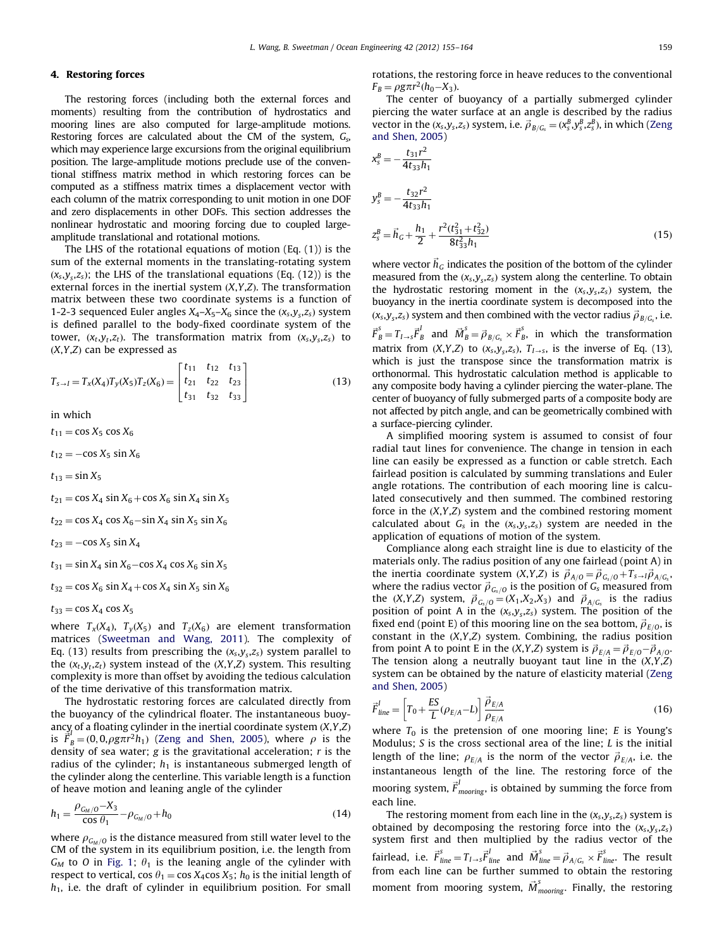#### <span id="page-4-0"></span>4. Restoring forces

The restoring forces (including both the external forces and moments) resulting from the contribution of hydrostatics and mooring lines are also computed for large-amplitude motions. Restoring forces are calculated about the CM of the system, G<sub>s</sub>, which may experience large excursions from the original equilibrium position. The large-amplitude motions preclude use of the conventional stiffness matrix method in which restoring forces can be computed as a stiffness matrix times a displacement vector with each column of the matrix corresponding to unit motion in one DOF and zero displacements in other DOFs. This section addresses the nonlinear hydrostatic and mooring forcing due to coupled largeamplitude translational and rotational motions.

The LHS of the rotational equations of motion (Eq. (1)) is the sum of the external moments in the translating-rotating system  $(x<sub>s</sub>,y<sub>s</sub>,z<sub>s</sub>)$ ; the LHS of the translational equations (Eq. (12)) is the external forces in the inertial system  $(X, Y, Z)$ . The transformation matrix between these two coordinate systems is a function of 1-2-3 sequenced Euler angles  $X_4 - X_5 - X_6$  since the  $(x_s, y_s, z_s)$  system is defined parallel to the body-fixed coordinate system of the tower,  $(x_t, y_t, z_t)$ . The transformation matrix from  $(x_s, y_s, z_s)$  to  $(X, Y, Z)$  can be expressed as

$$
T_{s \to I} = T_x(X_4)T_y(X_5)T_z(X_6) = \begin{bmatrix} t_{11} & t_{12} & t_{13} \\ t_{21} & t_{22} & t_{23} \\ t_{31} & t_{32} & t_{33} \end{bmatrix}
$$
 (13)

in which

 $t_{11} = \cos X_5 \cos X_6$ 

 $t_{12} = -\cos X_5 \sin X_6$ 

 $t_{13} = \sin X_5$ 

 $t_{21} = \cos X_4 \sin X_6 + \cos X_6 \sin X_4 \sin X_5$ 

$$
t_{22} = \cos X_4 \cos X_6 - \sin X_4 \sin X_5 \sin X_6
$$

 $t_{23} = -\cos X_5 \sin X_4$ 

 $t_{31} = \sin X_4 \sin X_6 - \cos X_4 \cos X_6 \sin X_5$ 

 $t_{32} = \cos X_6 \sin X_4 + \cos X_4 \sin X_5 \sin X_6$ 

 $t_{33} = \cos X_4 \cos X_5$ 

where  $T_x(X_4)$ ,  $T_y(X_5)$  and  $T_z(X_6)$  are element transformation matrices [\(Sweetman and Wang, 2011\)](#page-9-0). The complexity of Eq. (13) results from prescribing the  $(x_s, y_s, z_s)$  system parallel to the  $(x_t, y_t, z_t)$  system instead of the  $(X, Y, Z)$  system. This resulting complexity is more than offset by avoiding the tedious calculation of the time derivative of this transformation matrix.

The hydrostatic restoring forces are calculated directly from the buoyancy of the cylindrical floater. The instantaneous buoyancy, of a floating cylinder in the inertial coordinate system  $(X, Y, Z)$ is  $\vec{F}_B^I = (0, 0, \rho g \pi r^2 h_1)$  ([Zeng and Shen, 2005](#page-9-0)), where  $\rho$  is the density of sea water;  $g$  is the gravitational acceleration;  $r$  is the radius of the cylinder;  $h_1$  is instantaneous submerged length of the cylinder along the centerline. This variable length is a function of heave motion and leaning angle of the cylinder

$$
h_1 = \frac{\rho_{G_M/O} - X_3}{\cos \theta_1} - \rho_{G_M/O} + h_0
$$
\n(14)

where  $\rho_{G_M/O}$  is the distance measured from still water level to the CM of the system in its equilibrium position, i.e. the length from  $G_M$  to O in [Fig. 1;](#page-1-0)  $\theta_1$  is the leaning angle of the cylinder with respect to vertical, cos  $\theta_1 = \cos X_4 \cos X_5$ ;  $h_0$  is the initial length of  $h_1$ , i.e. the draft of cylinder in equilibrium position. For small rotations, the restoring force in heave reduces to the conventional  $F_B = \rho g \pi r^2(h_0 - X_3)$ .

The center of buoyancy of a partially submerged cylinder piercing the water surface at an angle is described by the radius vector in the  $(x_s, y_s, z_s)$  system, i.e.  $\vec{\rho}_{B/G_s} = (x_s^B, y_s^B, z_s^B)$ , in which [\(Zeng](#page-9-0) [and Shen, 2005\)](#page-9-0)

$$
x_{s}^{B} = -\frac{t_{31}r^{2}}{4t_{33}h_{1}}
$$
  
\n
$$
y_{s}^{B} = -\frac{t_{32}r^{2}}{4t_{33}h_{1}}
$$
  
\n
$$
z_{s}^{B} = \vec{h}_{G} + \frac{h_{1}}{2} + \frac{r^{2}(t_{31}^{2} + t_{32}^{2})}{8t_{33}^{2}h_{1}}
$$
\n(15)

where vector  $\vec{h}_G$  indicates the position of the bottom of the cylinder measured from the  $(x_s, y_s, z_s)$  system along the centerline. To obtain the hydrostatic restoring moment in the  $(x_s, y_s, z_s)$  system, the buoyancy in the inertia coordinate system is decomposed into the  $(x_s, y_s, z_s)$  system and then combined with the vector radius  $\vec{\rho}_{B/G_s}$ , i.e.  $\vec{F}_B^s = T_{I\rightarrow s} \vec{F}_B^I$  and  $\vec{M}_B^s = \vec{\rho}_{B/G_s} \times \vec{F}_B^s$ , in which the transformation matrix from  $(X, Y, Z)$  to  $(x<sub>s</sub>, y<sub>s</sub>, z<sub>s</sub>)$ ,  $T<sub>I\rightarrow s</sub>$ , is the inverse of Eq. (13), which is just the transpose since the transformation matrix is orthonormal. This hydrostatic calculation method is applicable to any composite body having a cylinder piercing the water-plane. The center of buoyancy of fully submerged parts of a composite body are not affected by pitch angle, and can be geometrically combined with

A simplified mooring system is assumed to consist of four radial taut lines for convenience. The change in tension in each line can easily be expressed as a function or cable stretch. Each fairlead position is calculated by summing translations and Euler angle rotations. The contribution of each mooring line is calculated consecutively and then summed. The combined restoring force in the  $(X, Y, Z)$  system and the combined restoring moment calculated about  $G_s$  in the  $(x_s, y_s, z_s)$  system are needed in the application of equations of motion of the system.

a surface-piercing cylinder.

Compliance along each straight line is due to elasticity of the materials only. The radius position of any one fairlead (point A) in the inertia coordinate system  $(X, Y, Z)$  is  $\vec{\rho}_{A/O} = \vec{\rho}_{G_S/O} + T_{S \to I} \vec{\rho}_{A/G_S}$ where the radius vector  $\vec{\rho}_{G_S/O}$  is the position of  $G_S$  measured from the  $(X, Y, Z)$  system,  $\vec{\rho}_{G_s/O} = (X_1, X_2, X_3)$  and  $\vec{\rho}_{A/G_s}$  is the radius position of point A in the  $(x_s, y_s, z_s)$  system. The position of the fixed end (point E) of this mooring line on the sea bottom,  $\vec{\rho}_{E/O}$ , is constant in the  $(X, Y, Z)$  system. Combining, the radius position from point A to point E in the  $(X, Y, Z)$  system is  $\vec{\rho}_{E/A} = \vec{\rho}_{E/O} - \vec{\rho}_{A/O}$ . The tension along a neutrally buoyant taut line in the  $(X, Y, Z)$ system can be obtained by the nature of elasticity material [\(Zeng](#page-9-0) [and Shen, 2005\)](#page-9-0)

$$
\vec{F}_{line}^I = \left[ T_0 + \frac{ES}{L} (\rho_{E/A} - L) \right] \frac{\vec{\rho}_{E/A}}{\rho_{E/A}}
$$
(16)

where  $T_0$  is the pretension of one mooring line; E is Young's Modulus;  $S$  is the cross sectional area of the line;  $L$  is the initial length of the line;  $\rho_{E/A}$  is the norm of the vector  $\vec{\rho}_{E/A}$ , i.e. the instantaneous length of the line. The restoring force of the mooring system,  ${\vec F}_{moving}^l$ , is obtained by summing the force from each line.

The restoring moment from each line in the  $(x_s, y_s, z_s)$  system is obtained by decomposing the restoring force into the  $(x_s, y_s, z_s)$ system first and then multiplied by the radius vector of the fairlead, i.e.  $\vec{F}_{line}^s = T_{I\to s} \vec{F}_{line}^I$  and  $\vec{M}_{line}^s = \vec{\rho}_{A/G_s} \times \vec{F}_{line}^s$ . The result from each line can be further summed to obtain the restoring moment from mooring system,  ${\vec M}_{moving}^{\text{s}}.$  Finally, the restoring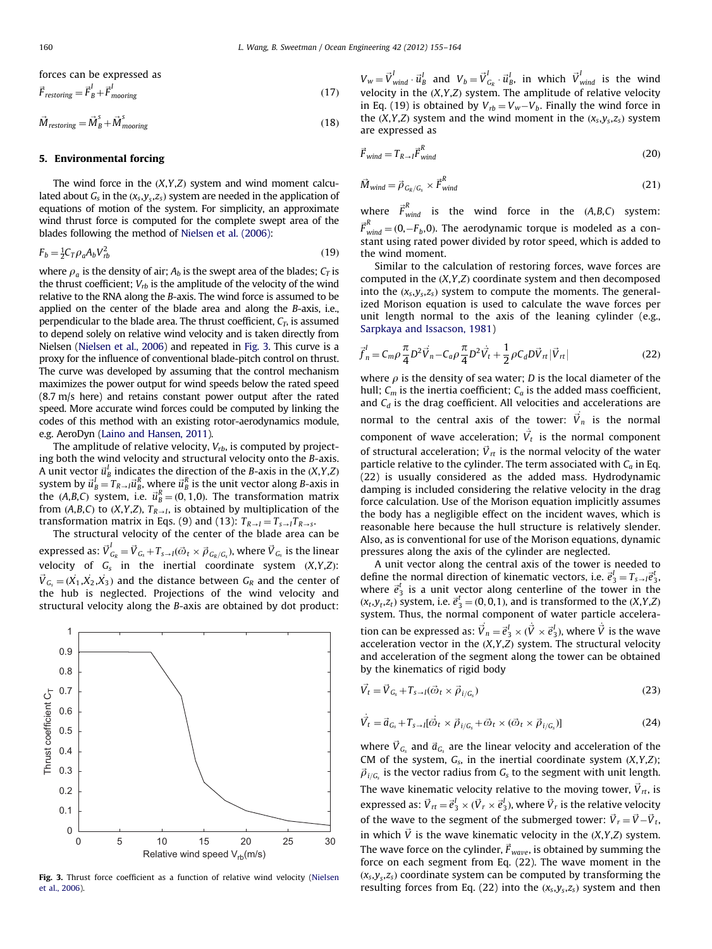forces can be expressed as

$$
\vec{F}_{restoring} = \vec{F}_B^I + \vec{F}_{moving}^I
$$
\n(17)

$$
\vec{M}_{\text{restoring}} = \vec{M}_{B}^{s} + \vec{M}_{\text{moving}}^{s}
$$
\n(18)

## 5. Environmental forcing

The wind force in the  $(X, Y, Z)$  system and wind moment calculated about  $G_s$  in the  $(x_s, y_s, z_s)$  system are needed in the application of equations of motion of the system. For simplicity, an approximate wind thrust force is computed for the complete swept area of the blades following the method of [Nielsen et al. \(2006\)](#page-9-0):

$$
F_b = \frac{1}{2} C_T \rho_a A_b V_{rb}^2 \tag{19}
$$

where  $\rho_a$  is the density of air;  $A_b$  is the swept area of the blades;  $C_T$  is the thrust coefficient;  $V_{th}$  is the amplitude of the velocity of the wind relative to the RNA along the B-axis. The wind force is assumed to be applied on the center of the blade area and along the B-axis, i.e., perpendicular to the blade area. The thrust coefficient,  $C_T$ , is assumed to depend solely on relative wind velocity and is taken directly from Nielsen ([Nielsen et al., 2006\)](#page-9-0) and repeated in Fig. 3. This curve is a proxy for the influence of conventional blade-pitch control on thrust. The curve was developed by assuming that the control mechanism maximizes the power output for wind speeds below the rated speed (8.7 m/s here) and retains constant power output after the rated speed. More accurate wind forces could be computed by linking the codes of this method with an existing rotor-aerodynamics module, e.g. AeroDyn [\(Laino and Hansen, 2011\)](#page-9-0).

The amplitude of relative velocity,  $V_{rb}$ , is computed by projecting both the wind velocity and structural velocity onto the B-axis. A unit vector  $\vec{u}_B^I$  indicates the direction of the B-axis in the (X,Y,Z) system by  $\vec{u}_B^I = T_{R\rightarrow I} \vec{u}_B^R$ , where  $\vec{u}_B^R$  is the unit vector along B-axis in the  $(A, B, C)$  system, i.e.  $\vec{u}_B^R = (0, 1, 0)$ . The transformation matrix from  $(A,B,C)$  to  $(X,Y,Z)$ ,  $T_{R\rightarrow I}$ , is obtained by multiplication of the transformation matrix in Eqs. (9) and (13):  $T_{R\rightarrow I} = T_{s\rightarrow I}T_{R\rightarrow s}$ .

The structural velocity of the center of the blade area can be expressed as:  ${\vec V}^I_{G_{\!R}}=\vec V_{G_{\!S}}+T_{s\to I}(\vec\omega_t\times\vec\rho_{\,G_{\!R}/G_{\!S}})$ , where  ${\vec V}_{G_{\!S}}$  is the linear velocity of  $G_s$  in the inertial coordinate system  $(X,Y,Z)$ :  ${\vec V}_{G_s}$  = ( ${\vec X}_1, {\vec X}_2, {\vec X}_3$ ) and the distance between  $G_R$  and the center of the hub is neglected. Projections of the wind velocity and structural velocity along the B-axis are obtained by dot product:



Fig. 3. Thrust force coefficient as a function of relative wind velocity ([Nielsen](#page-9-0) [et al., 2006](#page-9-0)).

 $V_w = \vec{V}_{wind}^I \cdot \vec{u}_B^I$  and  $V_b = \vec{V}_{G_R}^I \cdot \vec{u}_B^I$ , in which  $\vec{V}_{wind}^I$  is the wind velocity in the  $(X, Y, Z)$  system. The amplitude of relative velocity in Eq. (19) is obtained by  $V_{rb} = V_w - V_b$ . Finally the wind force in the  $(X, Y, Z)$  system and the wind moment in the  $(x_s, y_s, z_s)$  system are expressed as

$$
\vec{F}_{wind} = T_{R \to I} \vec{F}_{wind}^R \tag{20}
$$

$$
\vec{M}_{wind} = \vec{\rho}_{G_R/G_s} \times \vec{F}_{wind}^R \tag{21}
$$

where  $\vec{F}_{wind}^{R}$  is the wind force in the  $(A, B, C)$  system:  ${\vec{F}}^R_{wind}$  = (0,– $F_b$ ,0). The aerodynamic torque is modeled as a constant using rated power divided by rotor speed, which is added to the wind moment.

Similar to the calculation of restoring forces, wave forces are computed in the  $(X, Y, Z)$  coordinate system and then decomposed into the  $(x_s, y_s, z_s)$  system to compute the moments. The generalized Morison equation is used to calculate the wave forces per unit length normal to the axis of the leaning cylinder (e.g., [Sarpkaya and Issacson, 1981\)](#page-9-0)

$$
\vec{f}_n^l = C_m \rho \frac{\pi}{4} D^2 \vec{V}_n - C_a \rho \frac{\pi}{4} D^2 \vec{V}_t + \frac{1}{2} \rho C_d D \vec{V}_n | \vec{V}_n |
$$
 (22)

where  $\rho$  is the density of sea water; D is the local diameter of the hull;  $C_m$  is the inertia coefficient;  $C_a$  is the added mass coefficient, and  $C_d$  is the drag coefficient. All velocities and accelerations are normal to the central axis of the tower:  $\vec{V}_n$  is the normal component of wave acceleration;  $\vec{V}_t$  is the normal component of structural acceleration;  $\vec{V}_{rt}$  is the normal velocity of the water particle relative to the cylinder. The term associated with  $C_a$  in Eq. (22) is usually considered as the added mass. Hydrodynamic damping is included considering the relative velocity in the drag force calculation. Use of the Morison equation implicitly assumes the body has a negligible effect on the incident waves, which is reasonable here because the hull structure is relatively slender. Also, as is conventional for use of the Morison equations, dynamic pressures along the axis of the cylinder are neglected.

A unit vector along the central axis of the tower is needed to define the normal direction of kinematic vectors, i.e.  $\vec{e}_3^l = T_{s \to l} \vec{e}_3^l$ , where  $\vec{e}_3^t$  is a unit vector along centerline of the tower in the  $(x_t, y_t, z_t)$  system, i.e.  $\vec{e}_3^t = (0, 0, 1)$ , and is transformed to the  $(X, Y, Z)$ system. Thus, the normal component of water particle acceleration can be expressed as:  $\vec{V}_n = \vec{e}_3^I \times (\vec{V} \times \vec{e}_3^I)$ , where  $\vec{V}$  is the wave acceleration vector in the  $(X, Y, Z)$  system. The structural velocity and acceleration of the segment along the tower can be obtained by the kinematics of rigid body

$$
\vec{V}_t = \vec{V}_{G_s} + T_{s \to l} (\vec{\omega}_t \times \vec{\rho}_{i/G_s})
$$
\n(23)

$$
\dot{\vec{V}_t} = \vec{a}_{G_s} + T_{s \to l} [\vec{\omega}_t \times \vec{\rho}_{i/G_s} + \vec{\omega}_t \times (\vec{\omega}_t \times \vec{\rho}_{i/G_s})]
$$
(24)

where  $\vec{V}_{G_s}$  and  $\vec{a}_{G_s}$  are the linear velocity and acceleration of the CM of the system,  $G_s$ , in the inertial coordinate system  $(X,Y,Z)$ ;  $\vec{\rho}_{i/G_s}$  is the vector radius from  $G_s$  to the segment with unit length. The wave kinematic velocity relative to the moving tower,  $\vec{V}_{rt}$ , is expressed as:  $\vec{V}_{rt} = \vec{e}_3^I \times (\vec{V}_r \times \vec{e}_3^I)$ , where  $\vec{V}_r$  is the relative velocity of the wave to the segment of the submerged tower:  $\vec{V}_r = \vec{V} - \vec{V}_t$ , in which  $\vec{V}$  is the wave kinematic velocity in the  $(X, Y, Z)$  system. The wave force on the cylinder,  $\vec{F}_{wave}$ , is obtained by summing the force on each segment from Eq. (22). The wave moment in the  $(x<sub>s</sub>,y<sub>s</sub>,z<sub>s</sub>)$  coordinate system can be computed by transforming the resulting forces from Eq. (22) into the  $(x_s, y_s, z_s)$  system and then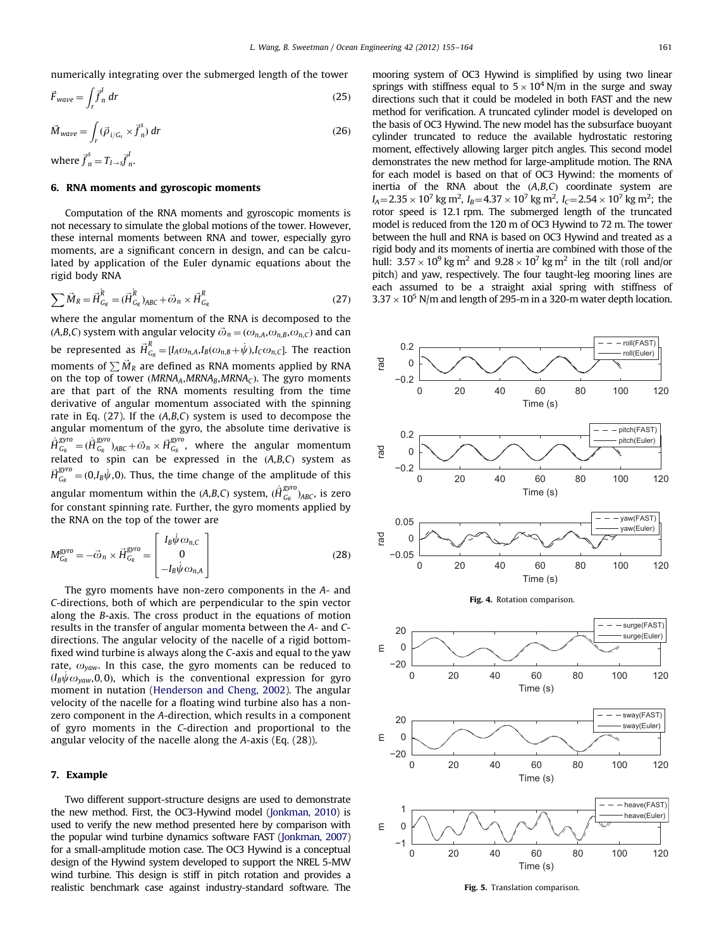<span id="page-6-0"></span>numerically integrating over the submerged length of the tower

$$
\vec{F}_{wave} = \int_{r} \vec{f}_n^l \, dr \tag{25}
$$

$$
\vec{M}_{wave} = \int_{r} (\vec{\rho}_{i/G_s} \times \vec{f}_n^s) dr
$$
\n(26)

where  $\vec{f}^s_n = T_{I \rightarrow s} \vec{f}^I_n$ .

## 6. RNA moments and gyroscopic moments

Computation of the RNA moments and gyroscopic moments is not necessary to simulate the global motions of the tower. However, these internal moments between RNA and tower, especially gyro moments, are a significant concern in design, and can be calculated by application of the Euler dynamic equations about the rigid body RNA

$$
\sum \vec{M}_R = \vec{H}_{G_R}^R = (\vec{H}_{G_R}^R)_{ABC} + \vec{\omega}_n \times \vec{H}_{G_R}^R
$$
 (27)

where the angular momentum of the RNA is decomposed to the  $(A,B,C)$  system with angular velocity  $\vec{\omega}_n = (\omega_{n,A},\omega_{n,B},\omega_{n,C})$  and can be represented as  $\vec{H}^R_{G_R} = [I_A \omega_{n,A}, I_B(\omega_{n,B} + \dot{\psi}), I_C \omega_{n,C}].$  The reaction moments of  $\sum \vec{M}_R$  are defined as RNA moments applied by RNA on the top of tower  $(MRNA<sub>A</sub>,MRNA<sub>B</sub>,MRNA<sub>C</sub>)$ . The gyro moments are that part of the RNA moments resulting from the time derivative of angular momentum associated with the spinning rate in Eq.  $(27)$ . If the  $(A,B,C)$  system is used to decompose the angular momentum of the gyro, the absolute time derivative is  $\dot{\vec{H}}^{gyro}_{G_R} = (\dot{\vec{H}}^{gyro}_{G_R})_{ABC} + \vec{\omega}_n \times \vec{H}^{gyro}_{G_R}$ , where the angular momentum related to spin can be expressed in the  $(A, B, C)$  system as  $\vec{H}^{gyro}_{G_R} = (0, I_B \dot{\psi}, 0)$ . Thus, the time change of the amplitude of this angular momentum within the (A,B,C) system,  $(\dot{H}^{\mathrm{gyro}}_{G_R})_{ABC}$ , is zero for constant spinning rate. Further, the gyro moments applied by the RNA on the top of the tower are

$$
M_{G_R}^{\text{gyro}} = -\vec{\omega}_n \times \vec{H}_{G_R}^{\text{gyro}} = \begin{bmatrix} I_B \dot{\psi} \omega_{n,C} \\ 0 \\ -I_B \dot{\psi} \omega_{n,A} \end{bmatrix}
$$
(28)

The gyro moments have non-zero components in the A- and C-directions, both of which are perpendicular to the spin vector along the B-axis. The cross product in the equations of motion results in the transfer of angular momenta between the A- and Cdirections. The angular velocity of the nacelle of a rigid bottomfixed wind turbine is always along the C-axis and equal to the yaw rate,  $\omega_{\text{yaw}}$ . In this case, the gyro moments can be reduced to  $(I_B\dot{\psi}\omega_{yaw},0,0)$ , which is the conventional expression for gyro moment in nutation [\(Henderson and Cheng, 2002\)](#page-9-0). The angular velocity of the nacelle for a floating wind turbine also has a nonzero component in the A-direction, which results in a component of gyro moments in the C-direction and proportional to the angular velocity of the nacelle along the A-axis (Eq. (28)).

## 7. Example

Two different support-structure designs are used to demonstrate the new method. First, the OC3-Hywind model [\(Jonkman, 2010](#page-9-0)) is used to verify the new method presented here by comparison with the popular wind turbine dynamics software FAST ([Jonkman, 2007\)](#page-9-0) for a small-amplitude motion case. The OC3 Hywind is a conceptual design of the Hywind system developed to support the NREL 5-MW wind turbine. This design is stiff in pitch rotation and provides a realistic benchmark case against industry-standard software. The mooring system of OC3 Hywind is simplified by using two linear springs with stiffness equal to  $5 \times 10^4$  N/m in the surge and sway directions such that it could be modeled in both FAST and the new method for verification. A truncated cylinder model is developed on the basis of OC3 Hywind. The new model has the subsurface buoyant cylinder truncated to reduce the available hydrostatic restoring moment, effectively allowing larger pitch angles. This second model demonstrates the new method for large-amplitude motion. The RNA for each model is based on that of OC3 Hywind: the moments of inertia of the RNA about the  $(A, B, C)$  coordinate system are  $I_A = 2.35 \times 10^7$  kg m<sup>2</sup>,  $I_B = 4.37 \times 10^7$  kg m<sup>2</sup>,  $I_C = 2.54 \times 10^7$  kg m<sup>2</sup>; the rotor speed is 12.1 rpm. The submerged length of the truncated model is reduced from the 120 m of OC3 Hywind to 72 m. The tower between the hull and RNA is based on OC3 Hywind and treated as a rigid body and its moments of inertia are combined with those of the hull:  $3.57 \times 10^9$  kg m<sup>2</sup> and  $9.28 \times 10^7$  kg m<sup>2</sup> in the tilt (roll and/or pitch) and yaw, respectively. The four taught-leg mooring lines are each assumed to be a straight axial spring with stiffness of 3.37  $\times$  10<sup>5</sup> N/m and length of 295-m in a 320-m water depth location.



Fig. 5. Translation comparison.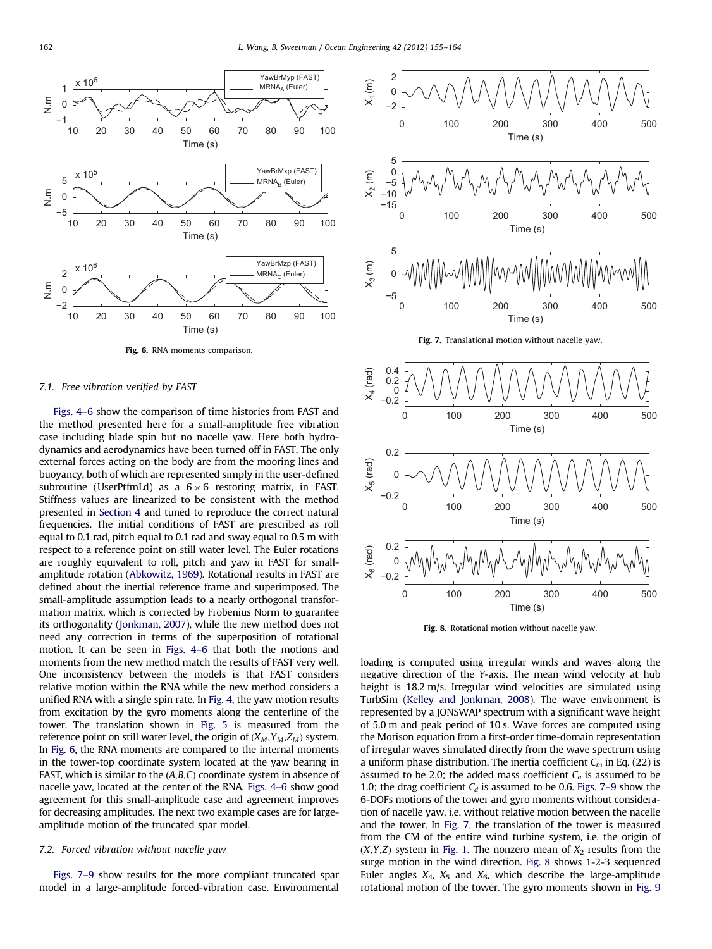

Fig. 6. RNA moments comparison.

#### 7.1. Free vibration verified by FAST

[Figs. 4–6](#page-6-0) show the comparison of time histories from FAST and the method presented here for a small-amplitude free vibration case including blade spin but no nacelle yaw. Here both hydrodynamics and aerodynamics have been turned off in FAST. The only external forces acting on the body are from the mooring lines and buoyancy, both of which are represented simply in the user-defined subroutine (UserPtfmLd) as a  $6\times 6$  restoring matrix, in FAST. Stiffness values are linearized to be consistent with the method presented in [Section 4](#page-4-0) and tuned to reproduce the correct natural frequencies. The initial conditions of FAST are prescribed as roll equal to 0.1 rad, pitch equal to 0.1 rad and sway equal to 0.5 m with respect to a reference point on still water level. The Euler rotations are roughly equivalent to roll, pitch and yaw in FAST for smallamplitude rotation [\(Abkowitz, 1969](#page-9-0)). Rotational results in FAST are defined about the inertial reference frame and superimposed. The small-amplitude assumption leads to a nearly orthogonal transformation matrix, which is corrected by Frobenius Norm to guarantee its orthogonality [\(Jonkman, 2007\)](#page-9-0), while the new method does not need any correction in terms of the superposition of rotational motion. It can be seen in [Figs. 4–6](#page-6-0) that both the motions and moments from the new method match the results of FAST very well. One inconsistency between the models is that FAST considers relative motion within the RNA while the new method considers a unified RNA with a single spin rate. In [Fig. 4](#page-6-0), the yaw motion results from excitation by the gyro moments along the centerline of the tower. The translation shown in [Fig. 5](#page-6-0) is measured from the reference point on still water level, the origin of  $(X_M, Y_M, Z_M)$  system. In Fig. 6, the RNA moments are compared to the internal moments in the tower-top coordinate system located at the yaw bearing in FAST, which is similar to the  $(A, B, C)$  coordinate system in absence of nacelle yaw, located at the center of the RNA. [Figs. 4–6](#page-6-0) show good agreement for this small-amplitude case and agreement improves for decreasing amplitudes. The next two example cases are for largeamplitude motion of the truncated spar model.

#### 7.2. Forced vibration without nacelle yaw

Figs. 7–9 show results for the more compliant truncated spar model in a large-amplitude forced-vibration case. Environmental



Fig. 8. Rotational motion without nacelle yaw.

loading is computed using irregular winds and waves along the negative direction of the Y-axis. The mean wind velocity at hub height is 18.2 m/s. Irregular wind velocities are simulated using TurbSim [\(Kelley and Jonkman, 2008](#page-9-0)). The wave environment is represented by a JONSWAP spectrum with a significant wave height of 5.0 m and peak period of 10 s. Wave forces are computed using the Morison equation from a first-order time-domain representation of irregular waves simulated directly from the wave spectrum using a uniform phase distribution. The inertia coefficient  $C_m$  in Eq. (22) is assumed to be 2.0; the added mass coefficient  $C_a$  is assumed to be 1.0; the drag coefficient  $C_d$  is assumed to be 0.6. Figs. 7–9 show the 6-DOFs motions of the tower and gyro moments without consideration of nacelle yaw, i.e. without relative motion between the nacelle and the tower. In Fig. 7, the translation of the tower is measured from the CM of the entire wind turbine system, i.e. the origin of  $(X, Y, Z)$  system in [Fig. 1](#page-1-0). The nonzero mean of  $X<sub>2</sub>$  results from the surge motion in the wind direction. Fig. 8 shows 1-2-3 sequenced Euler angles  $X_4$ ,  $X_5$  and  $X_6$ , which describe the large-amplitude rotational motion of the tower. The gyro moments shown in [Fig. 9](#page-8-0)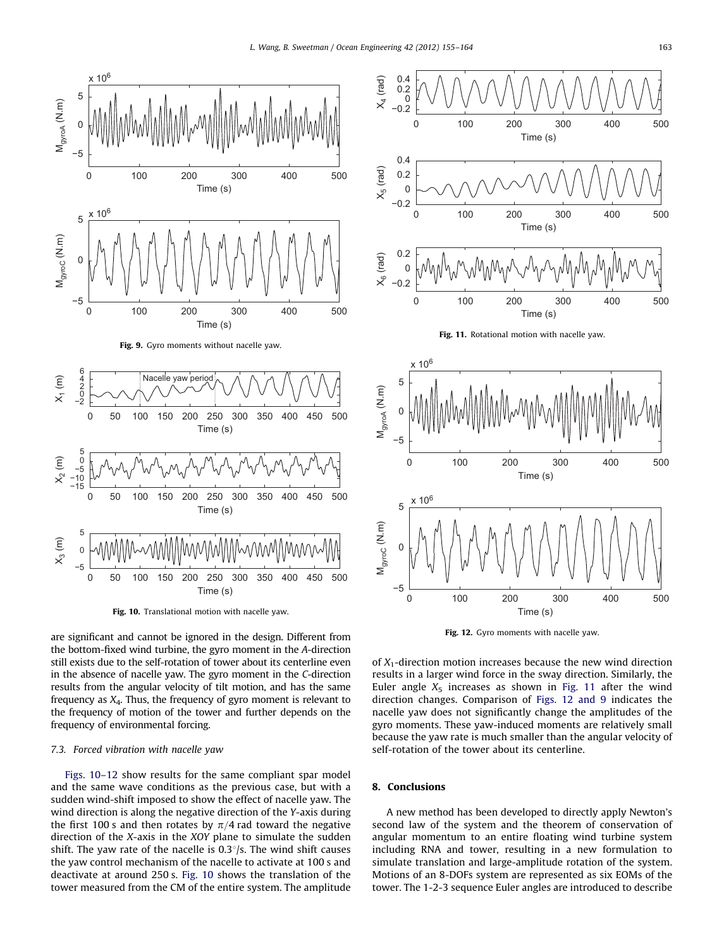<span id="page-8-0"></span>

Fig. 10. Translational motion with nacelle yaw.

are significant and cannot be ignored in the design. Different from the bottom-fixed wind turbine, the gyro moment in the A-direction still exists due to the self-rotation of tower about its centerline even in the absence of nacelle yaw. The gyro moment in the C-direction results from the angular velocity of tilt motion, and has the same frequency as  $X_4$ . Thus, the frequency of gyro moment is relevant to the frequency of motion of the tower and further depends on the frequency of environmental forcing.

## 7.3. Forced vibration with nacelle yaw

Figs. 10–12 show results for the same compliant spar model and the same wave conditions as the previous case, but with a sudden wind-shift imposed to show the effect of nacelle yaw. The wind direction is along the negative direction of the Y-axis during the first 100 s and then rotates by  $\pi/4$  rad toward the negative direction of the X-axis in the XOY plane to simulate the sudden shift. The yaw rate of the nacelle is  $0.3^{\circ}/s$ . The wind shift causes the yaw control mechanism of the nacelle to activate at 100 s and deactivate at around 250 s. Fig. 10 shows the translation of the tower measured from the CM of the entire system. The amplitude





Fig. 12. Gyro moments with nacelle yaw.

of  $X_1$ -direction motion increases because the new wind direction results in a larger wind force in the sway direction. Similarly, the Euler angle  $X_5$  increases as shown in Fig. 11 after the wind direction changes. Comparison of Figs. 12 and 9 indicates the nacelle yaw does not significantly change the amplitudes of the gyro moments. These yaw-induced moments are relatively small because the yaw rate is much smaller than the angular velocity of self-rotation of the tower about its centerline.

## 8. Conclusions

A new method has been developed to directly apply Newton's second law of the system and the theorem of conservation of angular momentum to an entire floating wind turbine system including RNA and tower, resulting in a new formulation to simulate translation and large-amplitude rotation of the system. Motions of an 8-DOFs system are represented as six EOMs of the tower. The 1-2-3 sequence Euler angles are introduced to describe